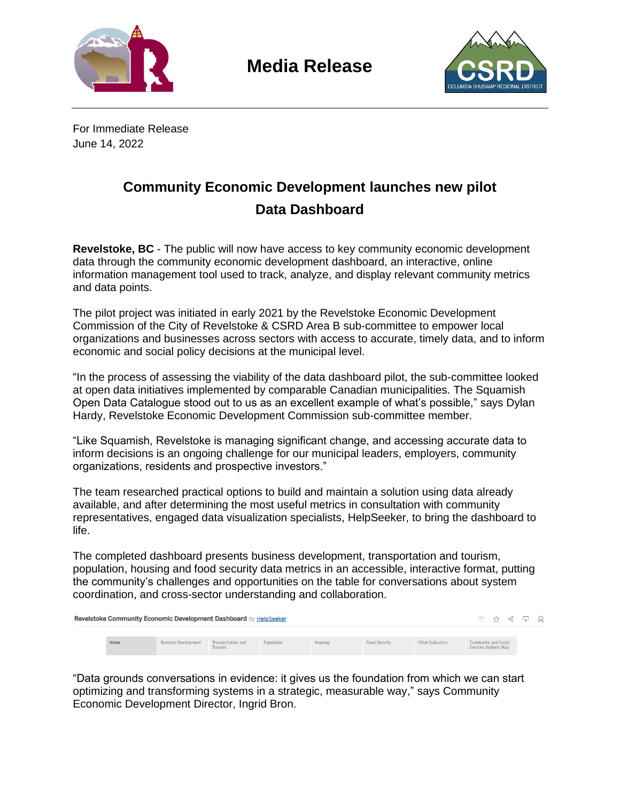

**Media Release**



For Immediate Release June 14, 2022

## **Community Economic Development launches new pilot Data Dashboard**

**Revelstoke, BC** - The public will now have access to key community economic development data through the community economic development dashboard, an interactive, online information management tool used to track, analyze, and display relevant community metrics and data points.

The pilot project was initiated in early 2021 by the Revelstoke Economic Development Commission of the City of Revelstoke & CSRD Area B sub-committee to empower local organizations and businesses across sectors with access to accurate, timely data, and to inform economic and social policy decisions at the municipal level.

"In the process of assessing the viability of the data dashboard pilot, the sub-committee looked at open data initiatives implemented by comparable Canadian municipalities. The Squamish Open Data Catalogue stood out to us as an excellent example of what's possible," says Dylan Hardy, Revelstoke Economic Development Commission sub-committee member.

"Like Squamish, Revelstoke is managing significant change, and accessing accurate data to inform decisions is an ongoing challenge for our municipal leaders, employers, community organizations, residents and prospective investors."

The team researched practical options to build and maintain a solution using data already available, and after determining the most useful metrics in consultation with community representatives, engaged data visualization specialists, HelpSeeker, to bring the dashboard to life.

The completed dashboard presents business development, transportation and tourism, population, housing and food security data metrics in an accessible, interactive format, putting the community's challenges and opportunities on the table for conversations about system coordination, and cross-sector understanding and collaboration.

| Revelstoke Community Economic Development Dashboard by HelpSeeker |      |                                         |         |            |         |               |                  |                                              | □ ☆ ☆ □ 魚 |  |  |
|-------------------------------------------------------------------|------|-----------------------------------------|---------|------------|---------|---------------|------------------|----------------------------------------------|-----------|--|--|
|                                                                   | Home | Business Development Transportation and | Tourism | Population | Housing | Food Security | Other Indicators | Community and Social<br>Services Systems Map |           |  |  |

"Data grounds conversations in evidence: it gives us the foundation from which we can start optimizing and transforming systems in a strategic, measurable way," says Community Economic Development Director, Ingrid Bron.